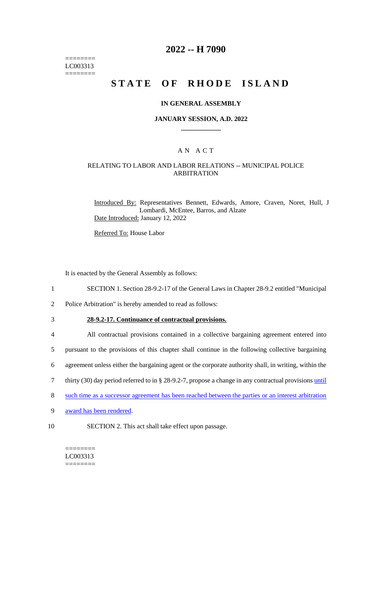======== LC003313 ========

## **2022 -- H 7090**

# **STATE OF RHODE ISLAND**

#### **IN GENERAL ASSEMBLY**

#### **JANUARY SESSION, A.D. 2022 \_\_\_\_\_\_\_\_\_\_\_\_**

## A N A C T

### RELATING TO LABOR AND LABOR RELATIONS -- MUNICIPAL POLICE ARBITRATION

Introduced By: Representatives Bennett, Edwards, Amore, Craven, Noret, Hull, J Lombardi, McEntee, Barros, and Alzate Date Introduced: January 12, 2022

Referred To: House Labor

It is enacted by the General Assembly as follows:

- 1 SECTION 1. Section 28-9.2-17 of the General Laws in Chapter 28-9.2 entitled "Municipal
- 2 Police Arbitration" is hereby amended to read as follows:

3 **28-9.2-17. Continuance of contractual provisions.**

4 All contractual provisions contained in a collective bargaining agreement entered into

- 5 pursuant to the provisions of this chapter shall continue in the following collective bargaining
- 6 agreement unless either the bargaining agent or the corporate authority shall, in writing, within the
- 7 thirty (30) day period referred to in § 28-9.2-7, propose a change in any contractual provisions until
- 8 such time as a successor agreement has been reached between the parties or an interest arbitration
- 9 award has been rendered.
- 10 SECTION 2. This act shall take effect upon passage.

======== LC003313 ========